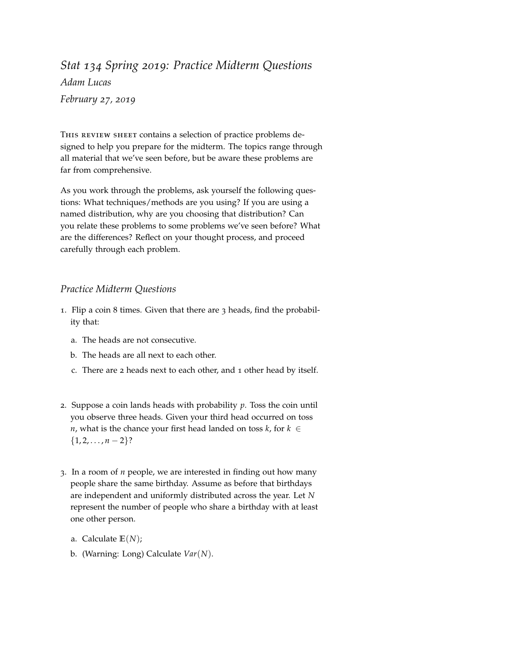*Stat 134 Spring 2019: Practice Midterm Questions Adam Lucas February 27, 2019*

THIS REVIEW SHEET contains a selection of practice problems designed to help you prepare for the midterm. The topics range through all material that we've seen before, but be aware these problems are far from comprehensive.

As you work through the problems, ask yourself the following questions: What techniques/methods are you using? If you are using a named distribution, why are you choosing that distribution? Can you relate these problems to some problems we've seen before? What are the differences? Reflect on your thought process, and proceed carefully through each problem.

## *Practice Midterm Questions*

- 1. Flip a coin 8 times. Given that there are 3 heads, find the probability that:
	- a. The heads are not consecutive.
	- b. The heads are all next to each other.
	- c. There are 2 heads next to each other, and 1 other head by itself.
- 2. Suppose a coin lands heads with probability *p*. Toss the coin until you observe three heads. Given your third head occurred on toss *n*, what is the chance your first head landed on toss  $k$ , for  $k \in$  $\{1, 2, \ldots, n-2\}$ ?
- 3. In a room of *n* people, we are interested in finding out how many people share the same birthday. Assume as before that birthdays are independent and uniformly distributed across the year. Let *N* represent the number of people who share a birthday with at least one other person.
	- a. Calculate **E**(*N*);
	- b. (Warning: Long) Calculate *Var*(*N*).